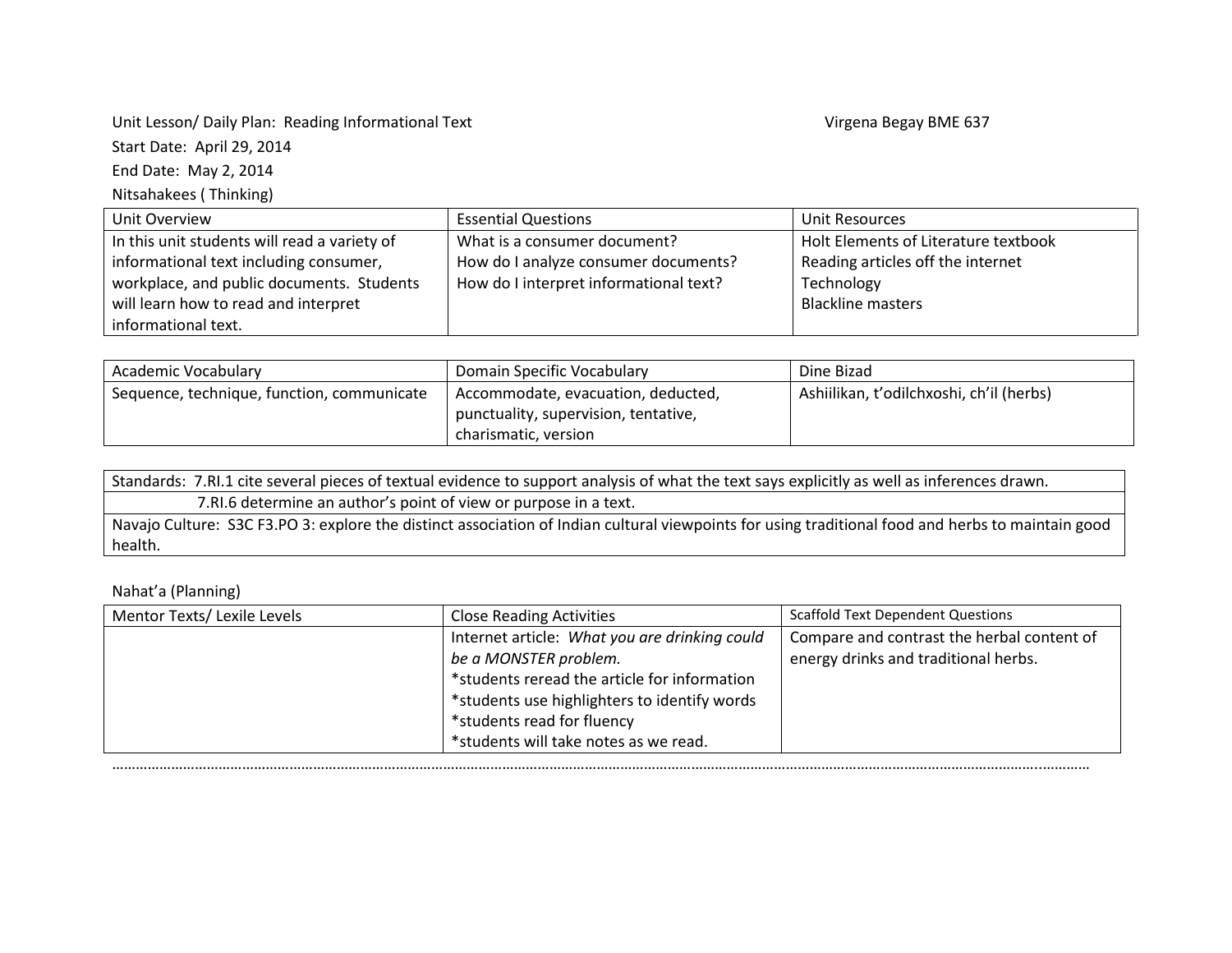Unit Lesson/ Daily Plan: Reading Informational Text **Virgena Begay BME 637** Virgena Begay BME 637 Start Date: April 29, 2014 End Date: May 2, 2014

Nitsahakees ( Thinking)

Unit Overview **Essential Questions** Extending Unit Resources In this unit students will read a variety of informational text including consumer, workplace, and public documents. Students will learn how to read and interpret informational text. What is a consumer document? How do I analyze consumer documents? How do I interpret informational text? Holt Elements of Literature textbook Reading articles off the internet Technology Blackline masters

| Academic Vocabulary                        | Domain Specific Vocabulary           | Dine Bizad                               |
|--------------------------------------------|--------------------------------------|------------------------------------------|
| Sequence, technique, function, communicate | Accommodate, evacuation, deducted,   | Ashiilikan, t'odilchxoshi, ch'il (herbs) |
|                                            | punctuality, supervision, tentative, |                                          |
|                                            | charismatic, version                 |                                          |

| Standards: 7.RI.1 cite several pieces of textual evidence to support analysis of what the text says explicitly as well as inferences drawn.       |
|---------------------------------------------------------------------------------------------------------------------------------------------------|
| 7. RI.6 determine an author's point of view or purpose in a text.                                                                                 |
| Navajo Culture: S3C F3.PO 3: explore the distinct association of Indian cultural viewpoints for using traditional food and herbs to maintain good |
| health.                                                                                                                                           |

Nahat'a (Planning)

| Mentor Texts/ Lexile Levels | <b>Close Reading Activities</b>               | <b>Scaffold Text Dependent Questions</b>   |
|-----------------------------|-----------------------------------------------|--------------------------------------------|
|                             | Internet article: What you are drinking could | Compare and contrast the herbal content of |
|                             | be a MONSTER problem.                         | energy drinks and traditional herbs.       |
|                             | *students reread the article for information  |                                            |
|                             | *students use highlighters to identify words  |                                            |
|                             | *students read for fluency                    |                                            |
|                             | *students will take notes as we read.         |                                            |
|                             |                                               |                                            |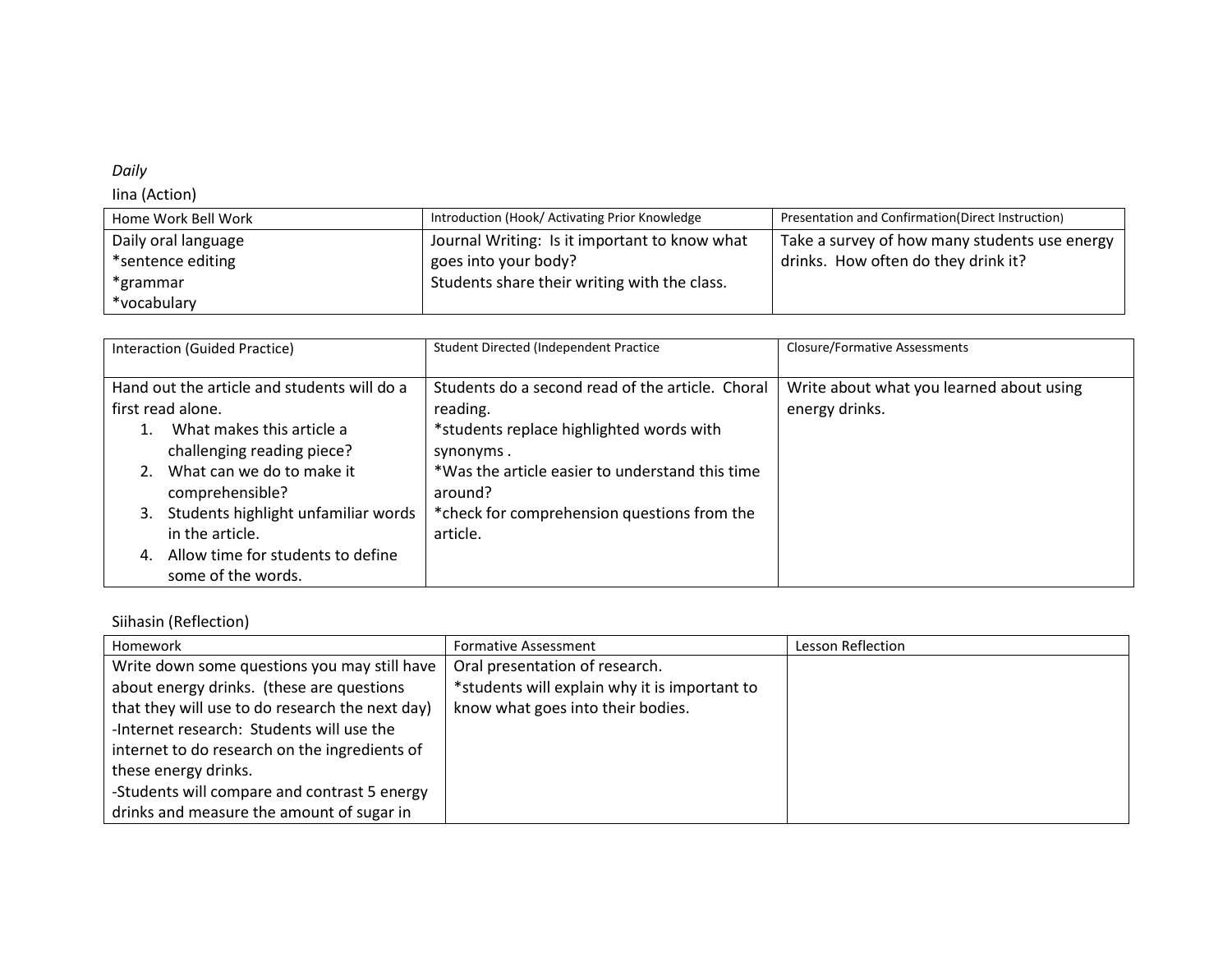## *Daily*

## Iina (Action)

| Home Work Bell Work | Introduction (Hook/ Activating Prior Knowledge | Presentation and Confirmation (Direct Instruction) |
|---------------------|------------------------------------------------|----------------------------------------------------|
| Daily oral language | Journal Writing: Is it important to know what  | Take a survey of how many students use energy      |
| *sentence editing   | goes into your body?                           | drinks. How often do they drink it?                |
| *grammar            | Students share their writing with the class.   |                                                    |
| *vocabulary         |                                                |                                                    |

| Interaction (Guided Practice)               | Student Directed (Independent Practice           | <b>Closure/Formative Assessments</b>     |
|---------------------------------------------|--------------------------------------------------|------------------------------------------|
| Hand out the article and students will do a | Students do a second read of the article. Choral | Write about what you learned about using |
| first read alone.                           | reading.                                         | energy drinks.                           |
| What makes this article a                   | *students replace highlighted words with         |                                          |
| challenging reading piece?                  | synonyms.                                        |                                          |
| What can we do to make it                   | *Was the article easier to understand this time  |                                          |
| comprehensible?                             | around?                                          |                                          |
| Students highlight unfamiliar words<br>3.   | *check for comprehension questions from the      |                                          |
| in the article.                             | article.                                         |                                          |
| Allow time for students to define<br>4.     |                                                  |                                          |
| some of the words.                          |                                                  |                                          |

## Siihasin (Reflection)

| Homework                                        | <b>Formative Assessment</b>                   | Lesson Reflection |
|-------------------------------------------------|-----------------------------------------------|-------------------|
| Write down some questions you may still have    | Oral presentation of research.                |                   |
| about energy drinks. (these are questions       | *students will explain why it is important to |                   |
| that they will use to do research the next day) | know what goes into their bodies.             |                   |
| -Internet research: Students will use the       |                                               |                   |
| internet to do research on the ingredients of   |                                               |                   |
| these energy drinks.                            |                                               |                   |
| -Students will compare and contrast 5 energy    |                                               |                   |
| drinks and measure the amount of sugar in       |                                               |                   |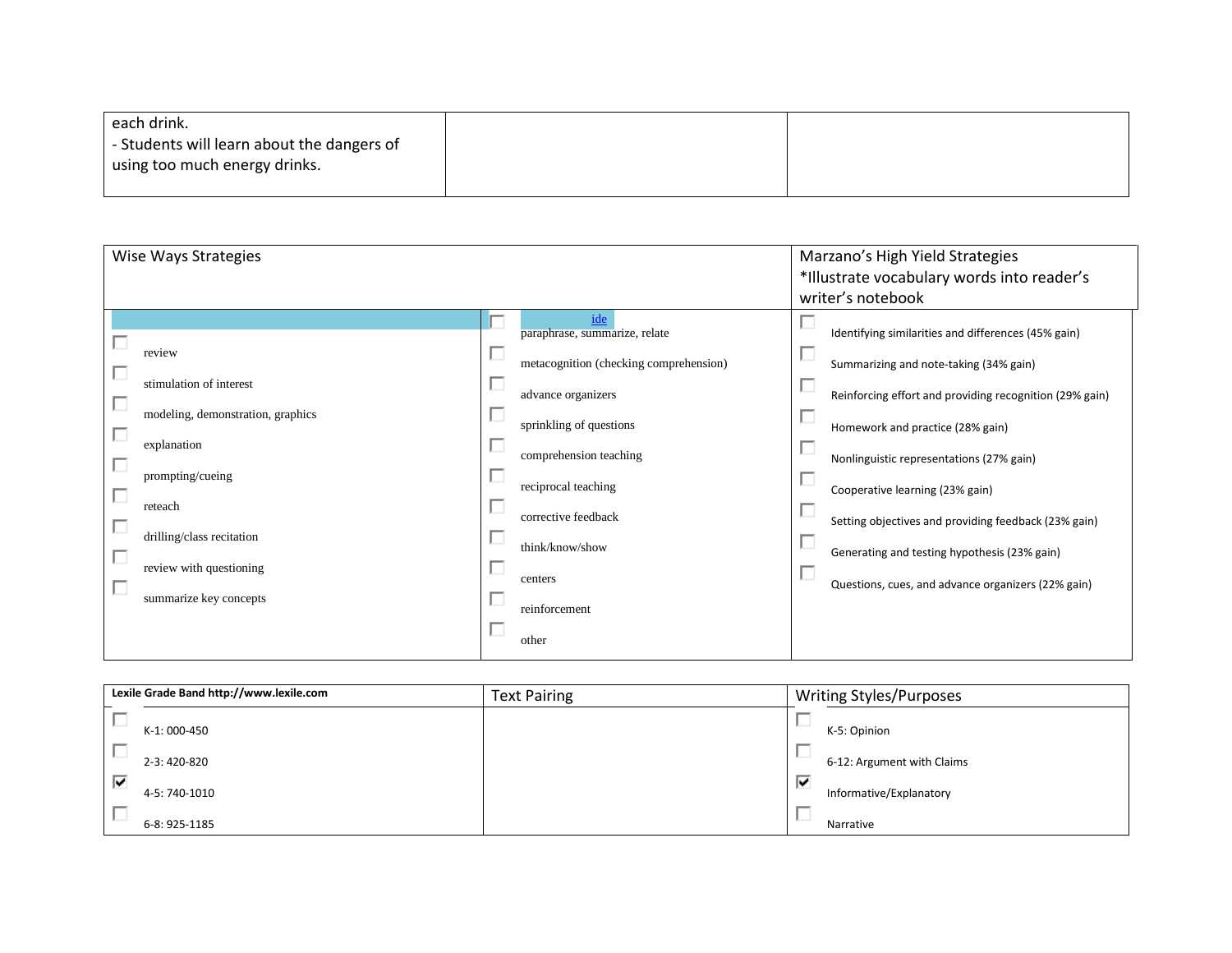| each drink.                                |  |
|--------------------------------------------|--|
| - Students will learn about the dangers of |  |
| using too much energy drinks.              |  |
|                                            |  |

| Wise Ways Strategies                                                                                                                                                                                                                      |                                                                                                                                                                                                                                                                                        | Marzano's High Yield Strategies                                                                                                                                                                                                                                                                                                                                                                                                           |
|-------------------------------------------------------------------------------------------------------------------------------------------------------------------------------------------------------------------------------------------|----------------------------------------------------------------------------------------------------------------------------------------------------------------------------------------------------------------------------------------------------------------------------------------|-------------------------------------------------------------------------------------------------------------------------------------------------------------------------------------------------------------------------------------------------------------------------------------------------------------------------------------------------------------------------------------------------------------------------------------------|
|                                                                                                                                                                                                                                           |                                                                                                                                                                                                                                                                                        | *Illustrate vocabulary words into reader's                                                                                                                                                                                                                                                                                                                                                                                                |
|                                                                                                                                                                                                                                           |                                                                                                                                                                                                                                                                                        | writer's notebook                                                                                                                                                                                                                                                                                                                                                                                                                         |
| review<br>stimulation of interest<br>П<br>modeling, demonstration, graphics<br>П<br>explanation<br>П<br>prompting/cueing<br>П<br>reteach<br>П<br>drilling/class recitation<br>П<br>review with questioning<br>П<br>summarize key concepts | г<br>paraphrase, summarize, relate<br>ш<br>metacognition (checking comprehension)<br>advance organizers<br>□<br>sprinkling of questions<br>ப<br>comprehension teaching<br>reciprocal teaching<br>О<br>corrective feedback<br>ш<br>think/know/show<br>centers<br>reinforcement<br>other | Identifying similarities and differences (45% gain)<br>Summarizing and note-taking (34% gain)<br>Reinforcing effort and providing recognition (29% gain)<br>Homework and practice (28% gain)<br>Nonlinguistic representations (27% gain)<br>Cooperative learning (23% gain)<br>Setting objectives and providing feedback (23% gain)<br>Generating and testing hypothesis (23% gain)<br>Questions, cues, and advance organizers (22% gain) |
|                                                                                                                                                                                                                                           |                                                                                                                                                                                                                                                                                        |                                                                                                                                                                                                                                                                                                                                                                                                                                           |

| Lexile Grade Band http://www.lexile.com | <b>Text Pairing</b> | <b>Writing Styles/Purposes</b> |
|-----------------------------------------|---------------------|--------------------------------|
| K-1: 000-450                            |                     | K-5: Opinion                   |
| 2-3:420-820                             |                     | 6-12: Argument with Claims     |
| ☑<br>4-5: 740-1010                      |                     | ₩<br>Informative/Explanatory   |
| 6-8: 925-1185                           |                     | Narrative                      |